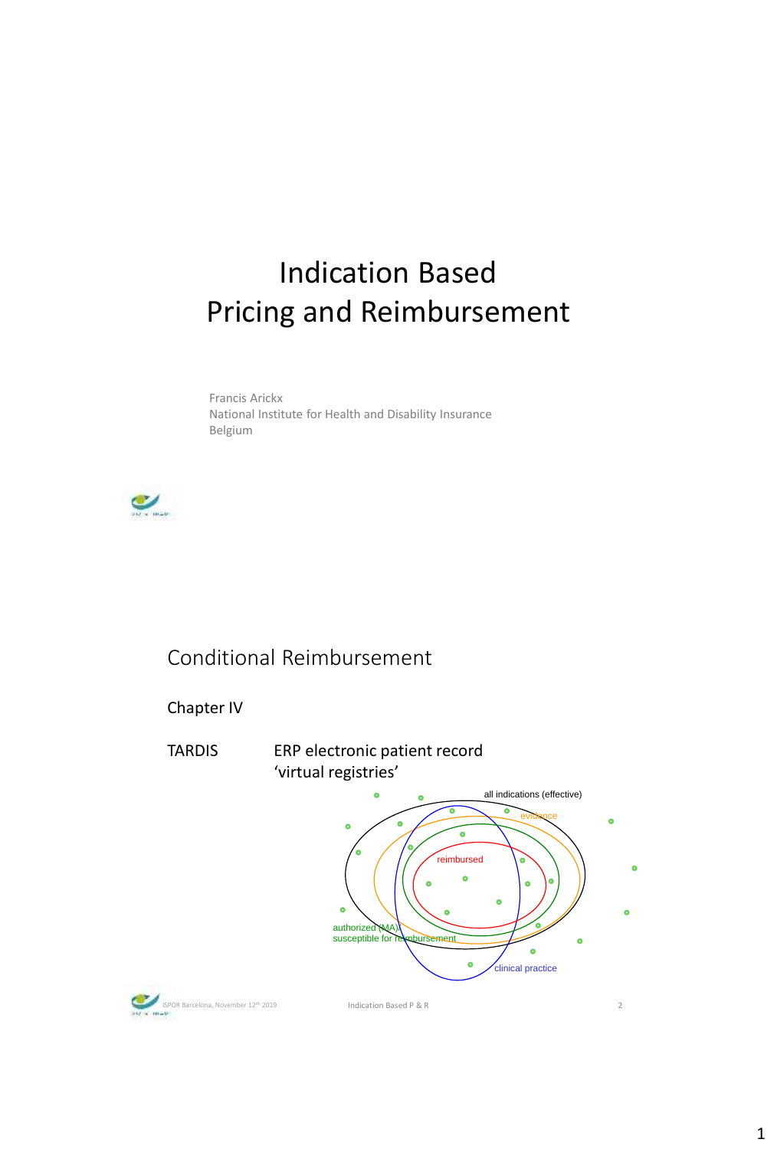# Indication Based Pricing and Reimbursement

Francis Arickx National Institute for Health and Disability Insurance Belgium



#### Conditional Reimbursement

Chapter IV

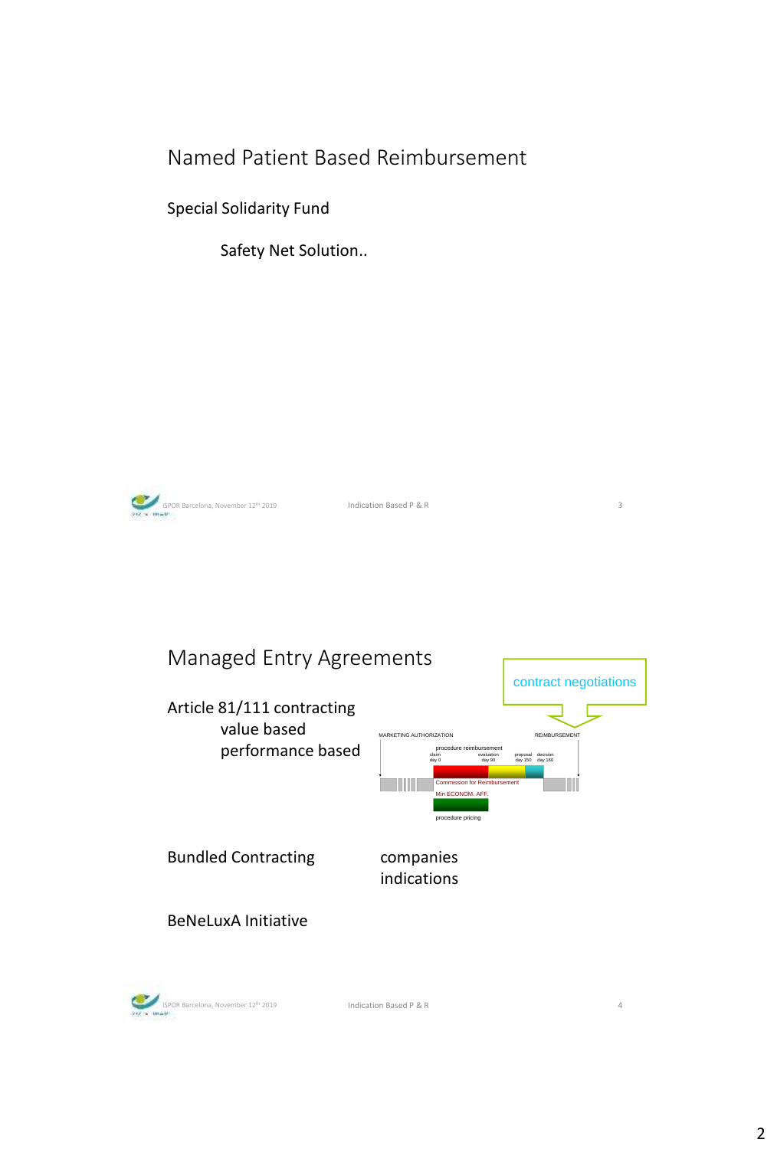Named Patient Based Reimbursement

Special Solidarity Fund

Safety Net Solution..





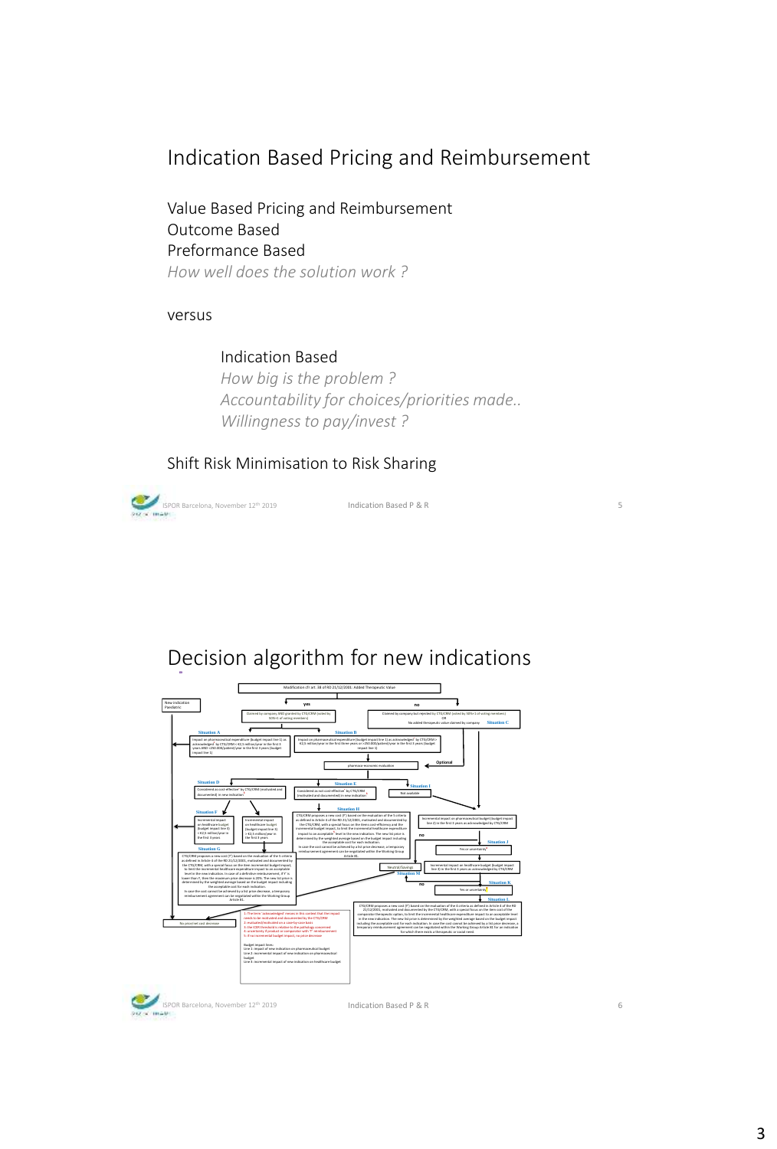#### Indication Based Pricing and Reimbursement

Value Based Pricing and Reimbursement Outcome Based Preformance Based *How well does the solution work ?*

versus

#### Indication Based

*How big is the problem ? Accountability for choices/priorities made.. Willingness to pay/invest ?*

#### Shift Risk Minimisation to Risk Sharing



#### Decision algorithm for new indications

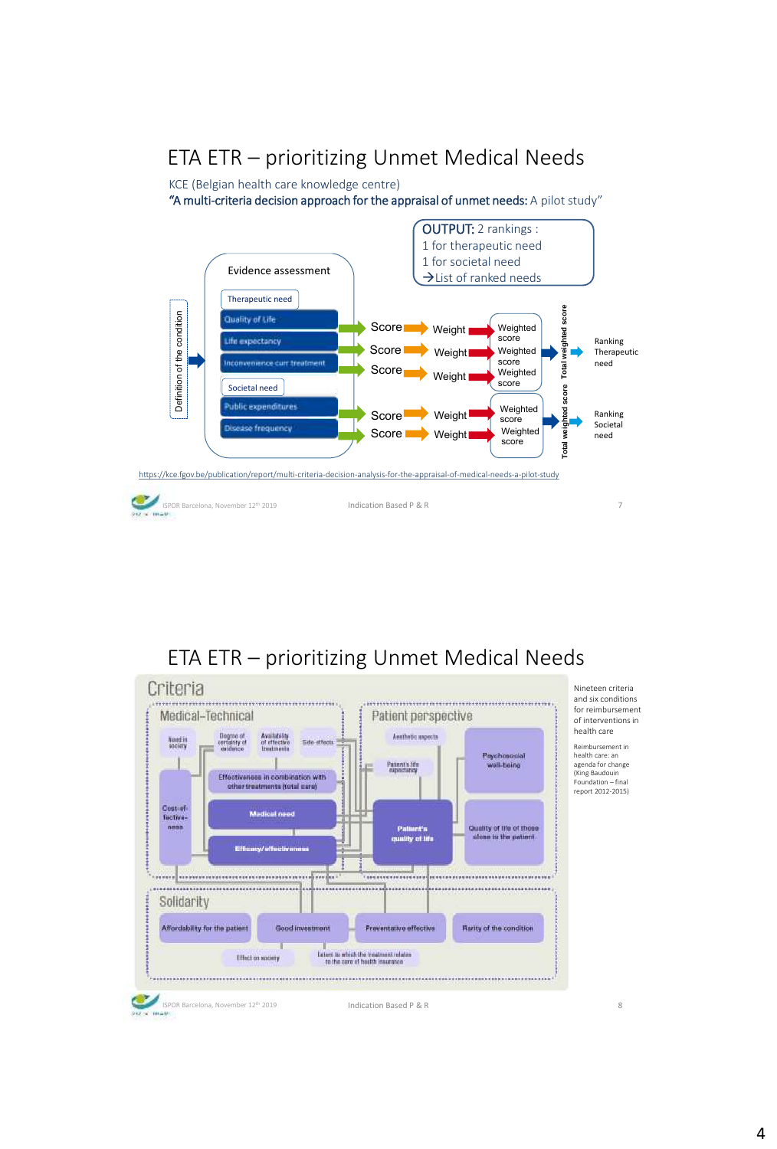### ETA ETR – prioritizing Unmet Medical Needs

KCE (Belgian health care knowledge centre)

"A multi-criteria decision approach for the appraisal of unmet needs: A pilot study"



## ETA ETR – prioritizing Unmet Medical Needs



Nineteen criteria and six conditions for reimbursement of interventions in health care

Reimbursement in health care: an agenda for change (King Baudouin Foundation – final report 2012-2015)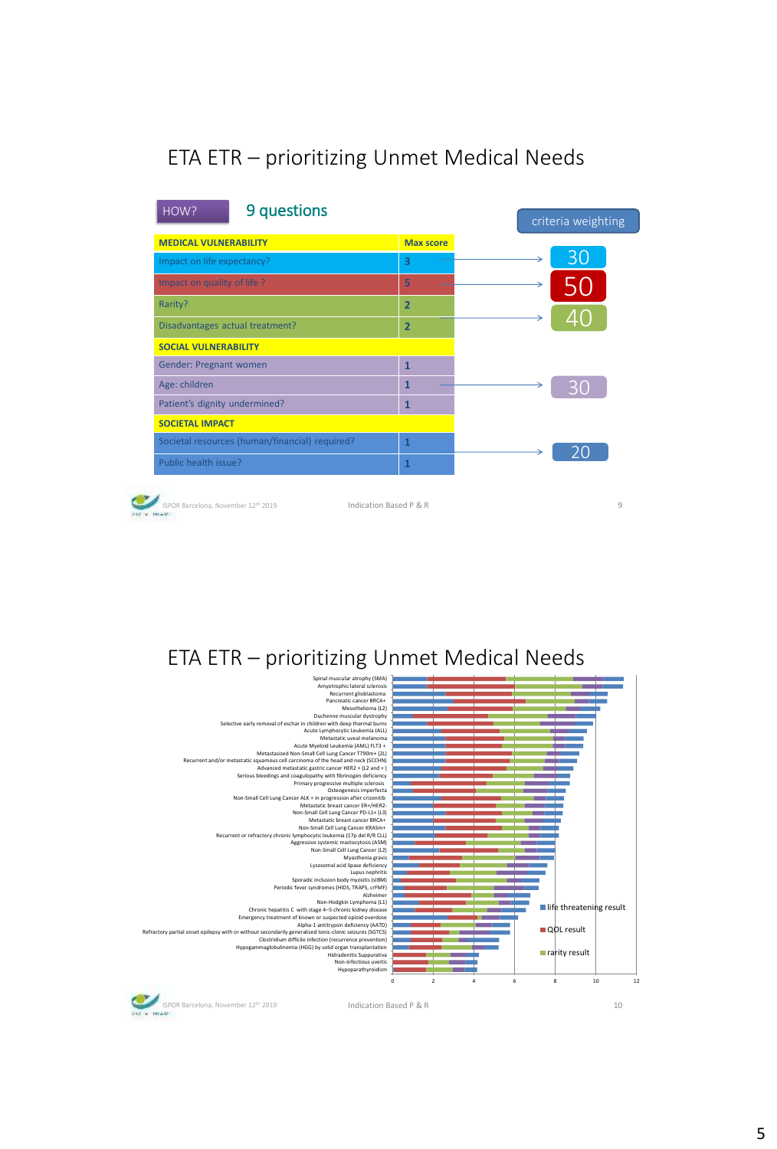#### ETA ETR – prioritizing Unmet Medical Needs

| <b>MEDICAL VULNERABILITY</b>                   | <b>Max score</b> |    |
|------------------------------------------------|------------------|----|
| Impact on life expectancy?                     | 3                | 30 |
| Impact on quality of life?                     | 5                |    |
| Rarity?                                        | $\overline{2}$   |    |
| Disadvantages actual treatment?                | $\overline{2}$   | 4C |
| <b>SOCIAL VULNERABILITY</b>                    |                  |    |
| Gender: Pregnant women                         | $\mathbf{1}$     |    |
| Age: children                                  | 1                | 30 |
| Patient's dignity undermined?                  | $\mathbf{1}$     |    |
| <b>SOCIETAL IMPACT</b>                         |                  |    |
| Societal resources (human/financial) required? | $\mathbf{1}$     | 20 |
| Public health issue?                           | $\overline{1}$   |    |

ETA ETR – prioritizing Unmet Medical Needs